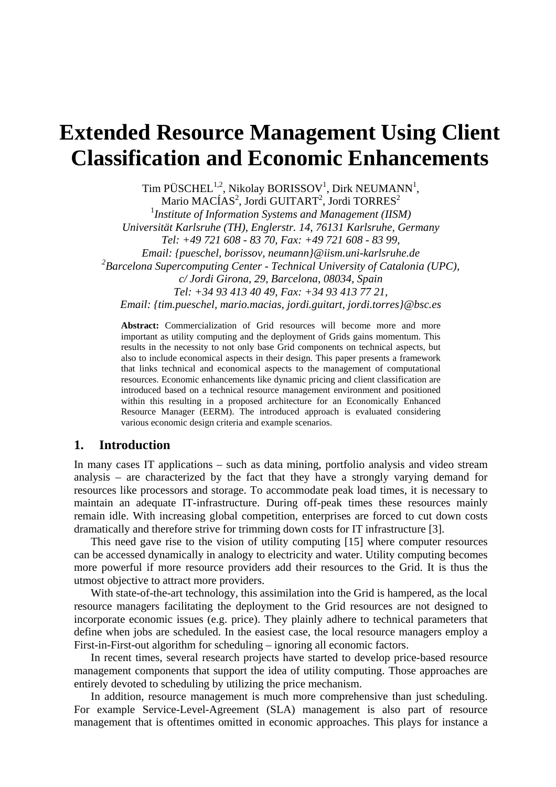# **Extended Resource Management Using Client Classification and Economic Enhancements**

 $\text{Tim PÜSCHEL}^{1,2}$ , Nikolay BORISSOV<sup>1</sup>, Dirk NEUMANN<sup>1</sup>, Mario MACÍAS<sup>2</sup>, Jordi GUITART<sup>2</sup>, Jordi TORRES<sup>2</sup> 1 *Institute of Information Systems and Management (IISM) Universität Karlsruhe (TH), Englerstr. 14, 76131 Karlsruhe, Germany Tel: +49 721 608 - 83 70, Fax: +49 721 608 - 83 99, Email: {pueschel, borissov, neumann}@iism.uni-karlsruhe.de*  <sup>2</sup> Barcelona Supercomputing Center - Technical University of Catalonia (UPC), *c/ Jordi Girona, 29, Barcelona, 08034, Spain Tel: +34 93 413 40 49, Fax: +34 93 413 77 21, Email: {tim.pueschel, mario.macias, jordi.guitart, jordi.torres}@bsc.es* 

**Abstract:** Commercialization of Grid resources will become more and more important as utility computing and the deployment of Grids gains momentum. This results in the necessity to not only base Grid components on technical aspects, but also to include economical aspects in their design. This paper presents a framework that links technical and economical aspects to the management of computational resources. Economic enhancements like dynamic pricing and client classification are introduced based on a technical resource management environment and positioned within this resulting in a proposed architecture for an Economically Enhanced Resource Manager (EERM). The introduced approach is evaluated considering various economic design criteria and example scenarios.

## **1. Introduction**

In many cases IT applications – such as data mining, portfolio analysis and video stream analysis – are characterized by the fact that they have a strongly varying demand for resources like processors and storage. To accommodate peak load times, it is necessary to maintain an adequate IT-infrastructure. During off-peak times these resources mainly remain idle. With increasing global competition, enterprises are forced to cut down costs dramatically and therefore strive for trimming down costs for IT infrastructure [3].

 This need gave rise to the vision of utility computing [15] where computer resources can be accessed dynamically in analogy to electricity and water. Utility computing becomes more powerful if more resource providers add their resources to the Grid. It is thus the utmost objective to attract more providers.

 With state-of-the-art technology, this assimilation into the Grid is hampered, as the local resource managers facilitating the deployment to the Grid resources are not designed to incorporate economic issues (e.g. price). They plainly adhere to technical parameters that define when jobs are scheduled. In the easiest case, the local resource managers employ a First-in-First-out algorithm for scheduling – ignoring all economic factors.

 In recent times, several research projects have started to develop price-based resource management components that support the idea of utility computing. Those approaches are entirely devoted to scheduling by utilizing the price mechanism.

 In addition, resource management is much more comprehensive than just scheduling. For example Service-Level-Agreement (SLA) management is also part of resource management that is oftentimes omitted in economic approaches. This plays for instance a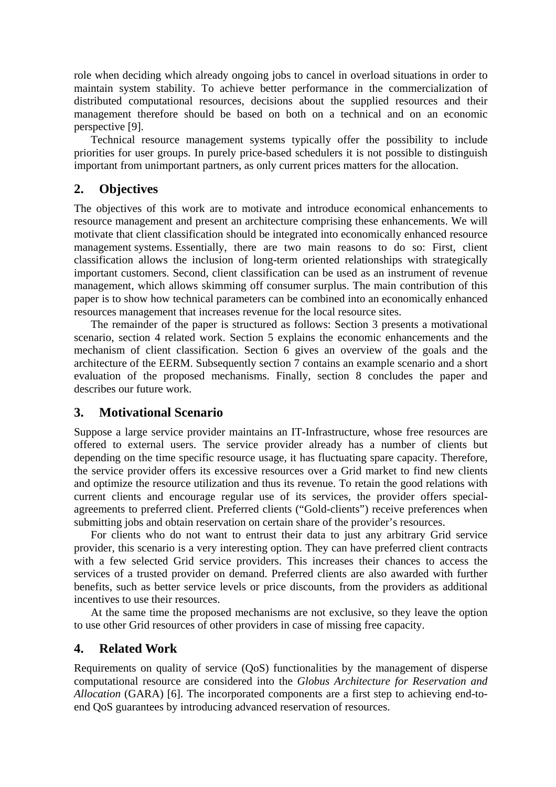role when deciding which already ongoing jobs to cancel in overload situations in order to maintain system stability. To achieve better performance in the commercialization of distributed computational resources, decisions about the supplied resources and their management therefore should be based on both on a technical and on an economic perspective [9].

 Technical resource management systems typically offer the possibility to include priorities for user groups. In purely price-based schedulers it is not possible to distinguish important from unimportant partners, as only current prices matters for the allocation.

# **2. Objectives**

The objectives of this work are to motivate and introduce economical enhancements to resource management and present an architecture comprising these enhancements. We will motivate that client classification should be integrated into economically enhanced resource management systems. Essentially, there are two main reasons to do so: First, client classification allows the inclusion of long-term oriented relationships with strategically important customers. Second, client classification can be used as an instrument of revenue management, which allows skimming off consumer surplus. The main contribution of this paper is to show how technical parameters can be combined into an economically enhanced resources management that increases revenue for the local resource sites.

 The remainder of the paper is structured as follows: Section 3 presents a motivational scenario, section 4 related work. Section 5 explains the economic enhancements and the mechanism of client classification. Section 6 gives an overview of the goals and the architecture of the EERM. Subsequently section 7 contains an example scenario and a short evaluation of the proposed mechanisms. Finally, section 8 concludes the paper and describes our future work.

## **3. Motivational Scenario**

Suppose a large service provider maintains an IT-Infrastructure, whose free resources are offered to external users. The service provider already has a number of clients but depending on the time specific resource usage, it has fluctuating spare capacity. Therefore, the service provider offers its excessive resources over a Grid market to find new clients and optimize the resource utilization and thus its revenue. To retain the good relations with current clients and encourage regular use of its services, the provider offers specialagreements to preferred client. Preferred clients ("Gold-clients") receive preferences when submitting jobs and obtain reservation on certain share of the provider's resources.

 For clients who do not want to entrust their data to just any arbitrary Grid service provider, this scenario is a very interesting option. They can have preferred client contracts with a few selected Grid service providers. This increases their chances to access the services of a trusted provider on demand. Preferred clients are also awarded with further benefits, such as better service levels or price discounts, from the providers as additional incentives to use their resources.

 At the same time the proposed mechanisms are not exclusive, so they leave the option to use other Grid resources of other providers in case of missing free capacity.

#### **4. Related Work**

Requirements on quality of service (QoS) functionalities by the management of disperse computational resource are considered into the *Globus Architecture for Reservation and Allocation* (GARA) [6]. The incorporated components are a first step to achieving end-toend QoS guarantees by introducing advanced reservation of resources.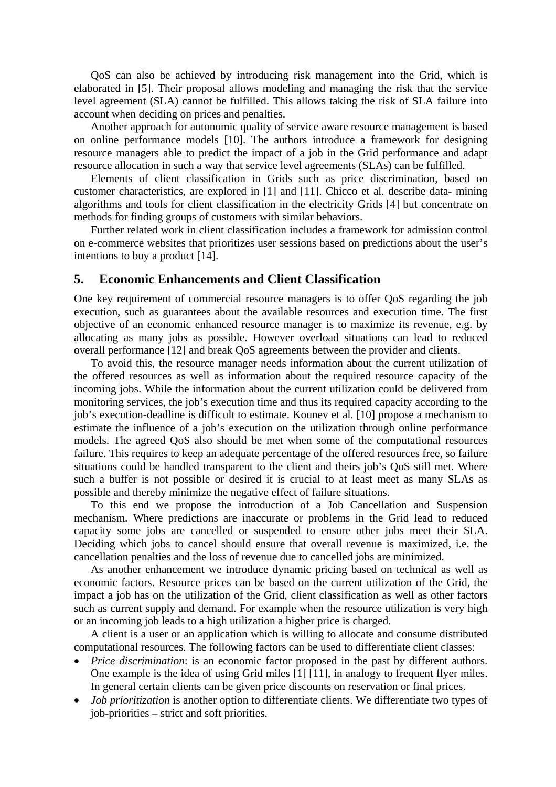QoS can also be achieved by introducing risk management into the Grid, which is elaborated in [5]. Their proposal allows modeling and managing the risk that the service level agreement (SLA) cannot be fulfilled. This allows taking the risk of SLA failure into account when deciding on prices and penalties.

 Another approach for autonomic quality of service aware resource management is based on online performance models [10]. The authors introduce a framework for designing resource managers able to predict the impact of a job in the Grid performance and adapt resource allocation in such a way that service level agreements (SLAs) can be fulfilled.

 Elements of client classification in Grids such as price discrimination, based on customer characteristics, are explored in [1] and [11]. Chicco et al. describe data- mining algorithms and tools for client classification in the electricity Grids [4] but concentrate on methods for finding groups of customers with similar behaviors.

 Further related work in client classification includes a framework for admission control on e-commerce websites that prioritizes user sessions based on predictions about the user's intentions to buy a product [14].

### **5. Economic Enhancements and Client Classification**

One key requirement of commercial resource managers is to offer QoS regarding the job execution, such as guarantees about the available resources and execution time. The first objective of an economic enhanced resource manager is to maximize its revenue, e.g. by allocating as many jobs as possible. However overload situations can lead to reduced overall performance [12] and break QoS agreements between the provider and clients.

 To avoid this, the resource manager needs information about the current utilization of the offered resources as well as information about the required resource capacity of the incoming jobs. While the information about the current utilization could be delivered from monitoring services, the job's execution time and thus its required capacity according to the job's execution-deadline is difficult to estimate. Kounev et al. [10] propose a mechanism to estimate the influence of a job's execution on the utilization through online performance models. The agreed QoS also should be met when some of the computational resources failure. This requires to keep an adequate percentage of the offered resources free, so failure situations could be handled transparent to the client and theirs job's QoS still met. Where such a buffer is not possible or desired it is crucial to at least meet as many SLAs as possible and thereby minimize the negative effect of failure situations.

 To this end we propose the introduction of a Job Cancellation and Suspension mechanism. Where predictions are inaccurate or problems in the Grid lead to reduced capacity some jobs are cancelled or suspended to ensure other jobs meet their SLA. Deciding which jobs to cancel should ensure that overall revenue is maximized, i.e. the cancellation penalties and the loss of revenue due to cancelled jobs are minimized.

 As another enhancement we introduce dynamic pricing based on technical as well as economic factors. Resource prices can be based on the current utilization of the Grid, the impact a job has on the utilization of the Grid, client classification as well as other factors such as current supply and demand. For example when the resource utilization is very high or an incoming job leads to a high utilization a higher price is charged.

 A client is a user or an application which is willing to allocate and consume distributed computational resources. The following factors can be used to differentiate client classes:

- *Price discrimination*: is an economic factor proposed in the past by different authors. One example is the idea of using Grid miles [1] [11], in analogy to frequent flyer miles. In general certain clients can be given price discounts on reservation or final prices.
- *Job prioritization* is another option to differentiate clients. We differentiate two types of job-priorities – strict and soft priorities.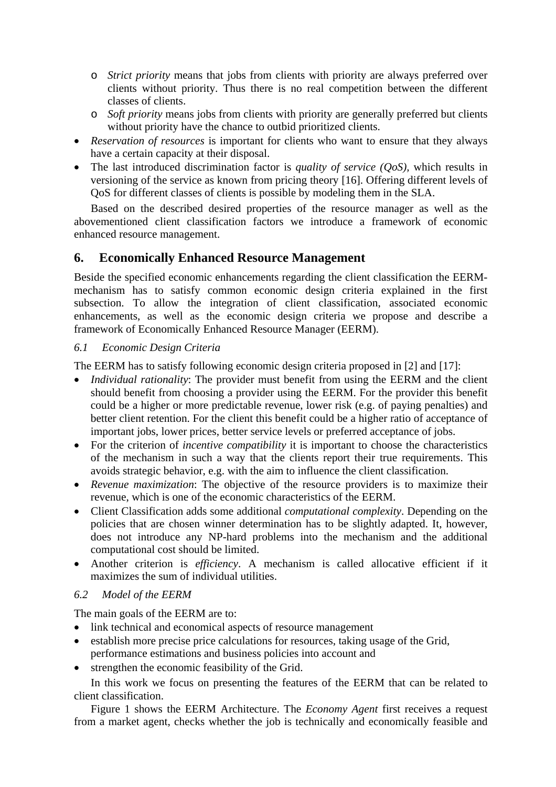- o *Strict priority* means that jobs from clients with priority are always preferred over clients without priority. Thus there is no real competition between the different classes of clients.
- o *Soft priority* means jobs from clients with priority are generally preferred but clients without priority have the chance to outbid prioritized clients.
- *Reservation of resources* is important for clients who want to ensure that they always have a certain capacity at their disposal.
- The last introduced discrimination factor is *quality of service (QoS),* which results in versioning of the service as known from pricing theory [16]. Offering different levels of QoS for different classes of clients is possible by modeling them in the SLA.

 Based on the described desired properties of the resource manager as well as the abovementioned client classification factors we introduce a framework of economic enhanced resource management.

# **6. Economically Enhanced Resource Management**

Beside the specified economic enhancements regarding the client classification the EERMmechanism has to satisfy common economic design criteria explained in the first subsection. To allow the integration of client classification, associated economic enhancements, as well as the economic design criteria we propose and describe a framework of Economically Enhanced Resource Manager (EERM).

#### *6.1 Economic Design Criteria*

The EERM has to satisfy following economic design criteria proposed in [2] and [17]:

- *Individual rationality*: The provider must benefit from using the EERM and the client should benefit from choosing a provider using the EERM. For the provider this benefit could be a higher or more predictable revenue, lower risk (e.g. of paying penalties) and better client retention. For the client this benefit could be a higher ratio of acceptance of important jobs, lower prices, better service levels or preferred acceptance of jobs.
- For the criterion of *incentive compatibility* it is important to choose the characteristics of the mechanism in such a way that the clients report their true requirements. This avoids strategic behavior, e.g. with the aim to influence the client classification.
- *Revenue maximization*: The objective of the resource providers is to maximize their revenue, which is one of the economic characteristics of the EERM.
- Client Classification adds some additional *computational complexity*. Depending on the policies that are chosen winner determination has to be slightly adapted. It, however, does not introduce any NP-hard problems into the mechanism and the additional computational cost should be limited.
- Another criterion is *efficiency*. A mechanism is called allocative efficient if it maximizes the sum of individual utilities.

#### *6.2 Model of the EERM*

The main goals of the EERM are to:

- link technical and economical aspects of resource management
- establish more precise price calculations for resources, taking usage of the Grid, performance estimations and business policies into account and
- strengthen the economic feasibility of the Grid.

 In this work we focus on presenting the features of the EERM that can be related to client classification.

 Figure 1 shows the EERM Architecture. The *Economy Agent* first receives a request from a market agent, checks whether the job is technically and economically feasible and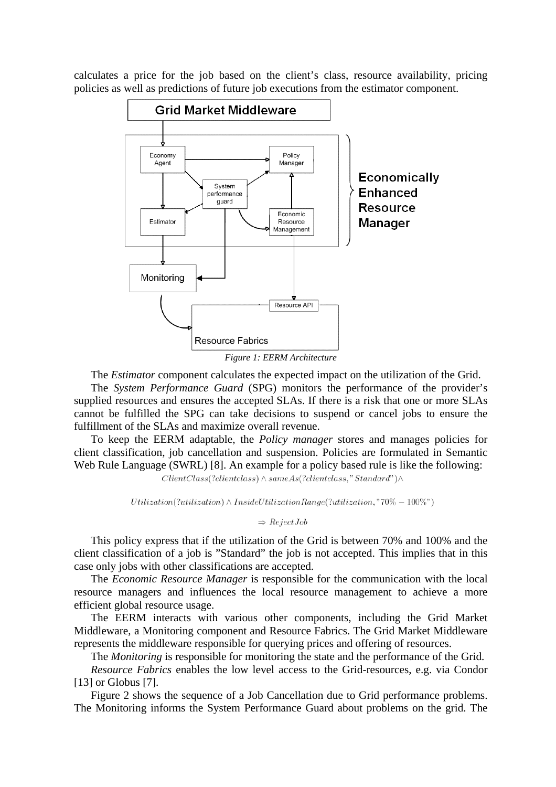calculates a price for the job based on the client's class, resource availability, pricing policies as well as predictions of future job executions from the estimator component.



*Figure 1: EERM Architecture* 

The *Estimator* component calculates the expected impact on the utilization of the Grid.

 The *System Performance Guard* (SPG) monitors the performance of the provider's supplied resources and ensures the accepted SLAs. If there is a risk that one or more SLAs cannot be fulfilled the SPG can take decisions to suspend or cancel jobs to ensure the fulfillment of the SLAs and maximize overall revenue.

To keep the EERM adaptable, the *Policy manager* stores and manages policies for client classification, job cancellation and suspension. Policies are formulated in Semantic Web Rule Language (SWRL) [8]. An example for a policy based rule is like the following:  $ClientClass(?clientclass) \land sameAs(?clientclass," Standard") \land$ 

Utilization(?utilization)  $\land$  InsideUtilizationRange(?utilization,"70% - 100%")

 $\Rightarrow$  Reject Job

This policy express that if the utilization of the Grid is between 70% and 100% and the client classification of a job is "Standard" the job is not accepted. This implies that in this case only jobs with other classifications are accepted.

 The *Economic Resource Manager* is responsible for the communication with the local resource managers and influences the local resource management to achieve a more efficient global resource usage.

The EERM interacts with various other components, including the Grid Market Middleware, a Monitoring component and Resource Fabrics. The Grid Market Middleware represents the middleware responsible for querying prices and offering of resources.

The *Monitoring* is responsible for monitoring the state and the performance of the Grid.

 *Resource Fabrics* enables the low level access to the Grid-resources, e.g. via Condor [13] or Globus [7].

Figure 2 shows the sequence of a Job Cancellation due to Grid performance problems. The Monitoring informs the System Performance Guard about problems on the grid. The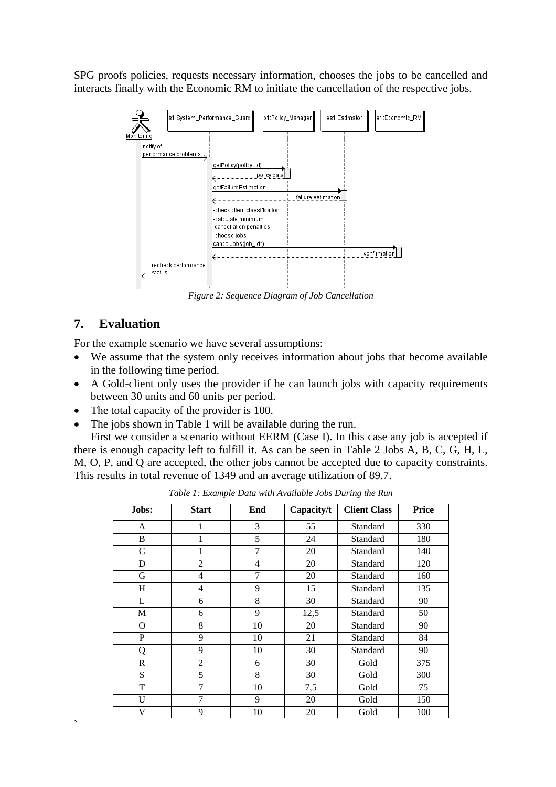SPG proofs policies, requests necessary information, chooses the jobs to be cancelled and interacts finally with the Economic RM to initiate the cancellation of the respective jobs.



*Figure 2: Sequence Diagram of Job Cancellation* 

# **7. Evaluation**

`

For the example scenario we have several assumptions:

- We assume that the system only receives information about jobs that become available in the following time period.
- A Gold-client only uses the provider if he can launch jobs with capacity requirements between 30 units and 60 units per period.
- The total capacity of the provider is 100.
- The jobs shown in Table 1 will be available during the run.

First we consider a scenario without EERM (Case I). In this case any job is accepted if there is enough capacity left to fulfill it. As can be seen in Table 2 Jobs A, B, C, G, H, L, M, O, P, and Q are accepted, the other jobs cannot be accepted due to capacity constraints. This results in total revenue of 1349 and an average utilization of 89.7.

| Jobs:         | <b>Start</b>   | End | Capacity/t | <b>Client Class</b> | <b>Price</b> |
|---------------|----------------|-----|------------|---------------------|--------------|
| A             | 1              | 3   | 55         | Standard            | 330          |
| B             |                | 5   | 24         | Standard            | 180          |
| $\mathcal{C}$ | 1              | 7   | 20         | Standard            | 140          |
| D             | 2              | 4   | 20         | Standard            | 120          |
| G             | 4              | 7   | 20         | Standard            | 160          |
| H             | $\overline{4}$ | 9   | 15         | Standard            | 135          |
| L             | 6              | 8   | 30         | Standard            | 90           |
| M             | 6              | 9   | 12,5       | Standard            | 50           |
| O             | 8              | 10  | 20         | Standard            | 90           |
| P             | 9              | 10  | 21         | Standard            | 84           |
| Q             | 9              | 10  | 30         | Standard            | 90           |
| $\mathbf R$   | $\overline{2}$ | 6   | 30         | Gold                | 375          |
| S             | 5              | 8   | 30         | Gold                | 300          |
| T             | 7              | 10  | 7,5        | Gold                | 75           |
| U             | $\overline{7}$ | 9   | 20         | Gold                | 150          |
| V             | 9              | 10  | 20         | Gold                | 100          |

*Table 1: Example Data with Available Jobs During the Run*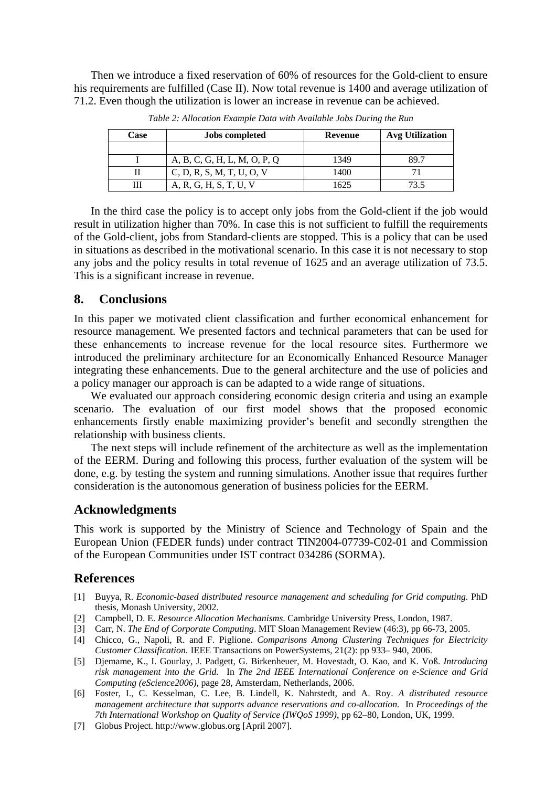Then we introduce a fixed reservation of 60% of resources for the Gold-client to ensure his requirements are fulfilled (Case II). Now total revenue is 1400 and average utilization of 71.2. Even though the utilization is lower an increase in revenue can be achieved.

| Case | <b>Jobs</b> completed        | Revenue | <b>Avg Utilization</b> |
|------|------------------------------|---------|------------------------|
|      |                              |         |                        |
|      | A, B, C, G, H, L, M, O, P, Q | 1349    | 89.7                   |
|      | C, D, R, S, M, T, U, O, V    | 1400    |                        |
|      | A, R, G, H, S, T, U, V       | 1625    | 73.5                   |

*Table 2: Allocation Example Data with Available Jobs During the Run* 

 In the third case the policy is to accept only jobs from the Gold-client if the job would result in utilization higher than 70%. In case this is not sufficient to fulfill the requirements of the Gold-client, jobs from Standard-clients are stopped. This is a policy that can be used in situations as described in the motivational scenario. In this case it is not necessary to stop any jobs and the policy results in total revenue of 1625 and an average utilization of 73.5. This is a significant increase in revenue.

# **8. Conclusions**

In this paper we motivated client classification and further economical enhancement for resource management. We presented factors and technical parameters that can be used for these enhancements to increase revenue for the local resource sites. Furthermore we introduced the preliminary architecture for an Economically Enhanced Resource Manager integrating these enhancements. Due to the general architecture and the use of policies and a policy manager our approach is can be adapted to a wide range of situations.

 We evaluated our approach considering economic design criteria and using an example scenario. The evaluation of our first model shows that the proposed economic enhancements firstly enable maximizing provider's benefit and secondly strengthen the relationship with business clients.

 The next steps will include refinement of the architecture as well as the implementation of the EERM. During and following this process, further evaluation of the system will be done, e.g. by testing the system and running simulations. Another issue that requires further consideration is the autonomous generation of business policies for the EERM.

## **Acknowledgments**

This work is supported by the Ministry of Science and Technology of Spain and the European Union (FEDER funds) under contract TIN2004-07739-C02-01 and Commission of the European Communities under IST contract 034286 (SORMA).

# **References**

- [1] Buyya, R. *Economic-based distributed resource management and scheduling for Grid computing*. PhD thesis, Monash University, 2002.
- [2] Campbell, D. E. *Resource Allocation Mechanisms*. Cambridge University Press, London, 1987.
- [3] Carr, N. *The End of Corporate Computing*. MIT Sloan Management Review (46:3), pp 66-73, 2005.
- [4] Chicco, G., Napoli, R. and F. Piglione. *Comparisons Among Clustering Techniques for Electricity Customer Classification.* IEEE Transactions on PowerSystems, 21(2): pp 933– 940, 2006.
- [5] Djemame, K., I. Gourlay, J. Padgett, G. Birkenheuer, M. Hovestadt, O. Kao, and K. Voß. *Introducing risk management into the Grid.* In *The 2nd IEEE International Conference on e-Science and Grid Computing (eScience2006)*, page 28, Amsterdam, Netherlands, 2006.
- [6] Foster, I., C. Kesselman, C. Lee, B. Lindell, K. Nahrstedt, and A. Roy. *A distributed resource management architecture that supports advance reservations and co-allocation.* In *Proceedings of the 7th International Workshop on Quality of Service (IWQoS 1999)*, pp 62–80, London, UK, 1999.
- [7] Globus Project. http://www.globus.org [April 2007].